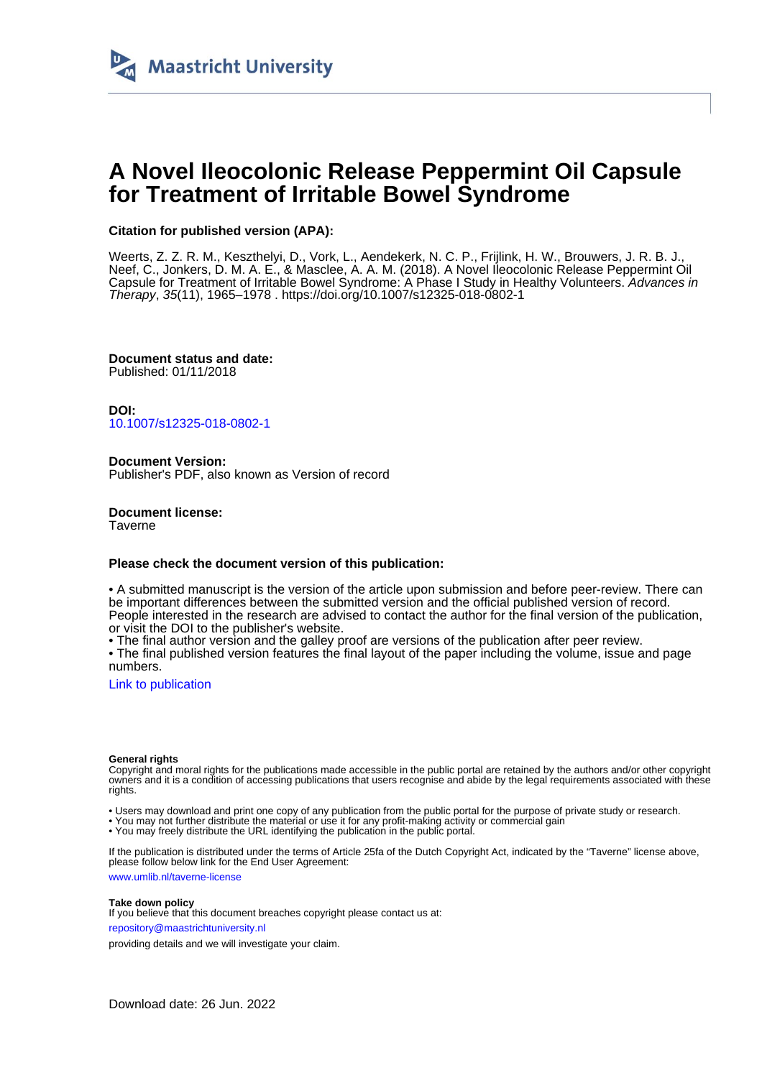

# **A Novel Ileocolonic Release Peppermint Oil Capsule for Treatment of Irritable Bowel Syndrome**

### **Citation for published version (APA):**

Weerts, Z. Z. R. M., Keszthelyi, D., Vork, L., Aendekerk, N. C. P., Frijlink, H. W., Brouwers, J. R. B. J., Neef, C., Jonkers, D. M. A. E., & Masclee, A. A. M. (2018). A Novel Ileocolonic Release Peppermint Oil Capsule for Treatment of Irritable Bowel Syndrome: A Phase I Study in Healthy Volunteers. Advances in Therapy, 35(11), 1965–1978 .<https://doi.org/10.1007/s12325-018-0802-1>

**Document status and date:** Published: 01/11/2018

**DOI:** [10.1007/s12325-018-0802-1](https://doi.org/10.1007/s12325-018-0802-1)

**Document Version:** Publisher's PDF, also known as Version of record

**Document license: Taverne** 

#### **Please check the document version of this publication:**

• A submitted manuscript is the version of the article upon submission and before peer-review. There can be important differences between the submitted version and the official published version of record. People interested in the research are advised to contact the author for the final version of the publication, or visit the DOI to the publisher's website.

• The final author version and the galley proof are versions of the publication after peer review.

• The final published version features the final layout of the paper including the volume, issue and page numbers.

[Link to publication](https://cris.maastrichtuniversity.nl/en/publications/89640a42-4a4e-483d-92c3-52cce64a6f38)

#### **General rights**

Copyright and moral rights for the publications made accessible in the public portal are retained by the authors and/or other copyright owners and it is a condition of accessing publications that users recognise and abide by the legal requirements associated with these rights.

• Users may download and print one copy of any publication from the public portal for the purpose of private study or research.

• You may not further distribute the material or use it for any profit-making activity or commercial gain

• You may freely distribute the URL identifying the publication in the public portal.

If the publication is distributed under the terms of Article 25fa of the Dutch Copyright Act, indicated by the "Taverne" license above, please follow below link for the End User Agreement:

www.umlib.nl/taverne-license

#### **Take down policy**

If you believe that this document breaches copyright please contact us at: repository@maastrichtuniversity.nl

providing details and we will investigate your claim.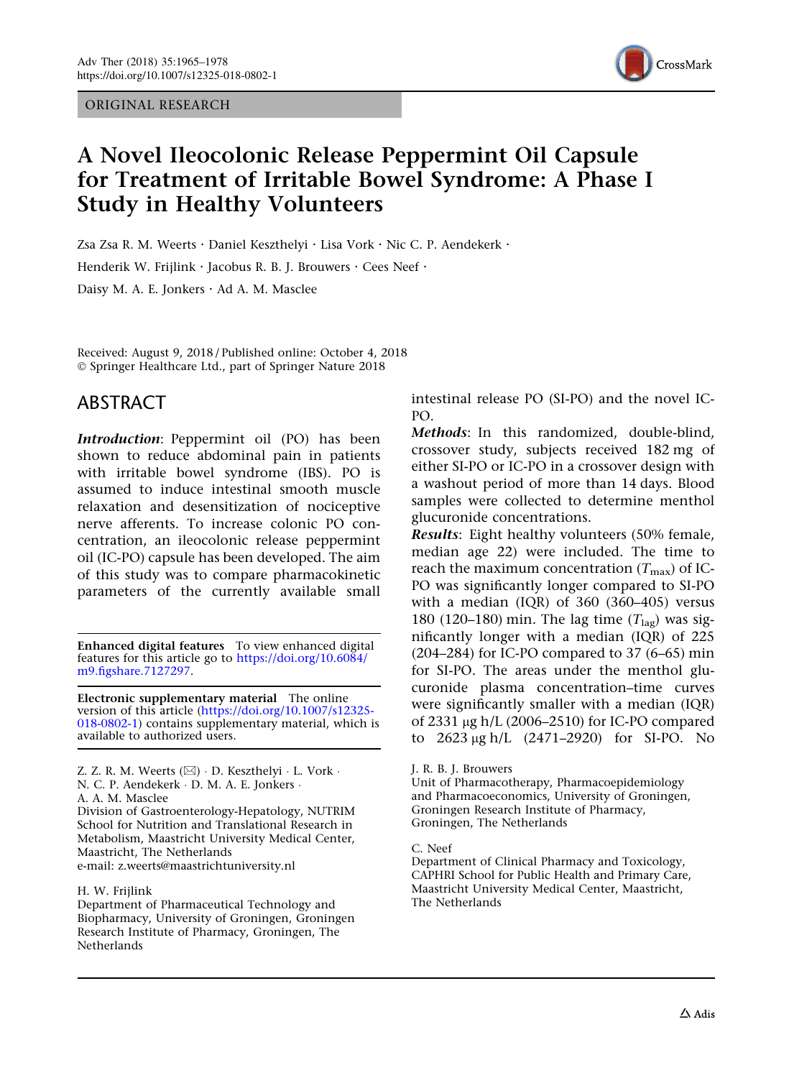ORIGINAL RESEARCH



# A Novel Ileocolonic Release Peppermint Oil Capsule for Treatment of Irritable Bowel Syndrome: A Phase I Study in Healthy Volunteers

Zsa Zsa R. M. Weerts · Daniel Keszthelyi · Lisa Vork · Nic C. P. Aendekerk ·

Henderik W. Frijlink · Jacobus R. B. J. Brouwers · Cees Neef ·

Daisy M. A. E. Jonkers · Ad A. M. Masclee

Received: August 9, 2018 / Published online: October 4, 2018 © Springer Healthcare Ltd., part of Springer Nature 2018

# ABSTRACT

Introduction: Peppermint oil (PO) has been shown to reduce abdominal pain in patients with irritable bowel syndrome (IBS). PO is assumed to induce intestinal smooth muscle relaxation and desensitization of nociceptive nerve afferents. To increase colonic PO concentration, an ileocolonic release peppermint oil (IC-PO) capsule has been developed. The aim of this study was to compare pharmacokinetic parameters of the currently available small

Enhanced digital features To view enhanced digital features for this article go to [https://doi.org/10.6084/](http://dx.doi.org/10.6084/m9.figshare.7127297) [m9.figshare.7127297.](http://dx.doi.org/10.6084/m9.figshare.7127297)

Electronic supplementary material The online version of this article ([https://doi.org/10.1007/s12325-](http://dx.doi.org/10.1007/s12325-018-0802-1) [018-0802-1](http://dx.doi.org/10.1007/s12325-018-0802-1)) contains supplementary material, which is available to authorized users.

Z. Z. R. M. Weerts (⊠) · D. Keszthelyi · L. Vork · N. C. P. Aendekerk - D. M. A. E. Jonkers - A. A. M. Masclee

Division of Gastroenterology-Hepatology, NUTRIM School for Nutrition and Translational Research in Metabolism, Maastricht University Medical Center, Maastricht, The Netherlands e-mail: z.weerts@maastrichtuniversity.nl

#### H. W. Frijlink

Department of Pharmaceutical Technology and Biopharmacy, University of Groningen, Groningen Research Institute of Pharmacy, Groningen, The Netherlands

intestinal release PO (SI-PO) and the novel IC-PO.

Methods: In this randomized, double-blind, crossover study, subjects received 182 mg of either SI-PO or IC-PO in a crossover design with a washout period of more than 14 days. Blood samples were collected to determine menthol glucuronide concentrations.

Results: Eight healthy volunteers (50% female, median age 22) were included. The time to reach the maximum concentration  $(T_{\text{max}})$  of IC-PO was significantly longer compared to SI-PO with a median (IQR) of 360 (360–405) versus 180 (120–180) min. The lag time  $(T<sub>lag</sub>)$  was significantly longer with a median (IQR) of 225 (204–284) for IC-PO compared to 37 (6–65) min for SI-PO. The areas under the menthol glucuronide plasma concentration–time curves were significantly smaller with a median (IQR) of 2331  $\mu$ g h/L (2006–2510) for IC-PO compared to 2623 lg h/L (2471–2920) for SI-PO. No

Unit of Pharmacotherapy, Pharmacoepidemiology and Pharmacoeconomics, University of Groningen, Groningen Research Institute of Pharmacy, Groningen, The Netherlands

C. Neef

Department of Clinical Pharmacy and Toxicology, CAPHRI School for Public Health and Primary Care, Maastricht University Medical Center, Maastricht, The Netherlands

J. R. B. J. Brouwers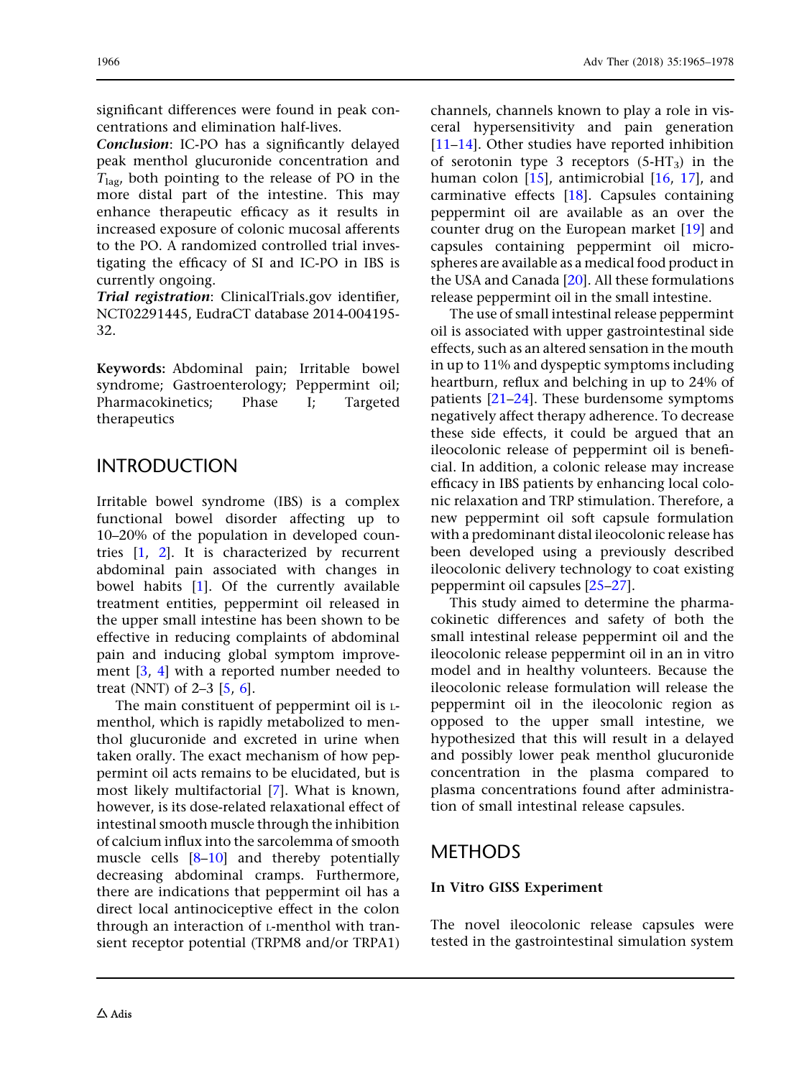significant differences were found in peak concentrations and elimination half-lives.

Conclusion: IC-PO has a significantly delayed peak menthol glucuronide concentration and  $T<sub>lag</sub>$ , both pointing to the release of PO in the more distal part of the intestine. This may enhance therapeutic efficacy as it results in increased exposure of colonic mucosal afferents to the PO. A randomized controlled trial investigating the efficacy of SI and IC-PO in IBS is currently ongoing.

Trial registration: ClinicalTrials.gov identifier, NCT02291445, EudraCT database 2014-004195- 32.

Keywords: Abdominal pain; Irritable bowel syndrome; Gastroenterology; Peppermint oil; Pharmacokinetics; Phase I; Targeted therapeutics

# INTRODUCTION

Irritable bowel syndrome (IBS) is a complex functional bowel disorder affecting up to 10–20% of the population in developed countries [[1,](#page-11-0) [2](#page-11-0)]. It is characterized by recurrent abdominal pain associated with changes in bowel habits [[1\]](#page-11-0). Of the currently available treatment entities, peppermint oil released in the upper small intestine has been shown to be effective in reducing complaints of abdominal pain and inducing global symptom improvement [[3,](#page-11-0) [4](#page-11-0)] with a reported number needed to treat (NNT) of 2–3  $[5, 6]$  $[5, 6]$  $[5, 6]$  $[5, 6]$  $[5, 6]$ .

The main constituent of peppermint oil is Lmenthol, which is rapidly metabolized to menthol glucuronide and excreted in urine when taken orally. The exact mechanism of how peppermint oil acts remains to be elucidated, but is most likely multifactorial [[7\]](#page-12-0). What is known, however, is its dose-related relaxational effect of intestinal smooth muscle through the inhibition of calcium influx into the sarcolemma of smooth muscle cells [[8–10\]](#page-12-0) and thereby potentially decreasing abdominal cramps. Furthermore, there are indications that peppermint oil has a direct local antinociceptive effect in the colon through an interaction of L-menthol with transient receptor potential (TRPM8 and/or TRPA1) channels, channels known to play a role in visceral hypersensitivity and pain generation [\[11–14](#page-12-0)]. Other studies have reported inhibition of serotonin type 3 receptors  $(5-HT_3)$  in the human colon [\[15\]](#page-12-0), antimicrobial [\[16,](#page-12-0) [17](#page-12-0)], and carminative effects [[18](#page-12-0)]. Capsules containing peppermint oil are available as an over the counter drug on the European market [[19](#page-12-0)] and capsules containing peppermint oil microspheres are available as a medical food product in the USA and Canada [\[20\]](#page-12-0). All these formulations release peppermint oil in the small intestine.

The use of small intestinal release peppermint oil is associated with upper gastrointestinal side effects, such as an altered sensation in the mouth in up to 11% and dyspeptic symptoms including heartburn, reflux and belching in up to 24% of patients  $[21-24]$ . These burdensome symptoms negatively affect therapy adherence. To decrease these side effects, it could be argued that an ileocolonic release of peppermint oil is beneficial. In addition, a colonic release may increase efficacy in IBS patients by enhancing local colonic relaxation and TRP stimulation. Therefore, a new peppermint oil soft capsule formulation with a predominant distal ileocolonic release has been developed using a previously described ileocolonic delivery technology to coat existing peppermint oil capsules [\[25–](#page-12-0)[27](#page-13-0)].

This study aimed to determine the pharmacokinetic differences and safety of both the small intestinal release peppermint oil and the ileocolonic release peppermint oil in an in vitro model and in healthy volunteers. Because the ileocolonic release formulation will release the peppermint oil in the ileocolonic region as opposed to the upper small intestine, we hypothesized that this will result in a delayed and possibly lower peak menthol glucuronide concentration in the plasma compared to plasma concentrations found after administration of small intestinal release capsules.

## METHODS

#### In Vitro GISS Experiment

The novel ileocolonic release capsules were tested in the gastrointestinal simulation system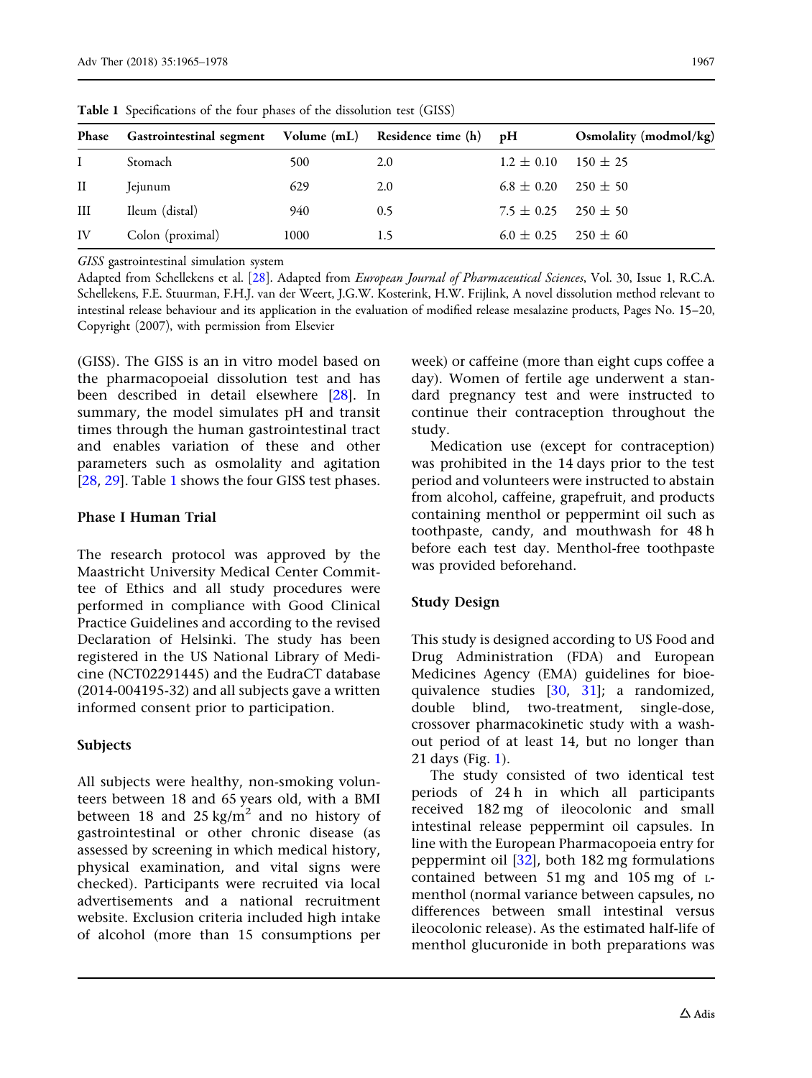| <b>Phase</b>         | Gastrointestinal segment Volume (mL) Residence time (h) pH |      |     |                             | Osmolality (modmol/kg) |
|----------------------|------------------------------------------------------------|------|-----|-----------------------------|------------------------|
|                      | Stomach                                                    | 500  | 2.0 | $1.2 \pm 0.10$ $150 \pm 25$ |                        |
| $\scriptstyle\rm II$ | <i>Jejunum</i>                                             | 629  | 2.0 | $6.8 \pm 0.20$ 250 $\pm$ 50 |                        |
| III                  | Ileum (distal)                                             | 940  | 0.5 | $7.5 \pm 0.25$ 250 $\pm$ 50 |                        |
| IV                   | Colon (proximal)                                           | 1000 | 1.5 | $6.0 \pm 0.25$ 250 $\pm 60$ |                        |

Table 1 Specifications of the four phases of the dissolution test (GISS)

GISS gastrointestinal simulation system

Adapted from Schellekens et al. [\[28\]](#page-13-0). Adapted from European Journal of Pharmaceutical Sciences, Vol. 30, Issue 1, R.C.A. Schellekens, F.E. Stuurman, F.H.J. van der Weert, J.G.W. Kosterink, H.W. Frijlink, A novel dissolution method relevant to intestinal release behaviour and its application in the evaluation of modified release mesalazine products, Pages No. 15–20, Copyright (2007), with permission from Elsevier

(GISS). The GISS is an in vitro model based on the pharmacopoeial dissolution test and has been described in detail elsewhere [\[28\]](#page-13-0). In summary, the model simulates pH and transit times through the human gastrointestinal tract and enables variation of these and other parameters such as osmolality and agitation [\[28](#page-13-0), [29](#page-13-0)]. Table 1 shows the four GISS test phases.

#### Phase I Human Trial

The research protocol was approved by the Maastricht University Medical Center Committee of Ethics and all study procedures were performed in compliance with Good Clinical Practice Guidelines and according to the revised Declaration of Helsinki. The study has been registered in the US National Library of Medicine (NCT02291445) and the EudraCT database (2014-004195-32) and all subjects gave a written informed consent prior to participation.

## Subjects

All subjects were healthy, non-smoking volunteers between 18 and 65 years old, with a BMI between 18 and 25 kg/ $m^2$  and no history of gastrointestinal or other chronic disease (as assessed by screening in which medical history, physical examination, and vital signs were checked). Participants were recruited via local advertisements and a national recruitment website. Exclusion criteria included high intake of alcohol (more than 15 consumptions per

week) or caffeine (more than eight cups coffee a day). Women of fertile age underwent a standard pregnancy test and were instructed to continue their contraception throughout the study.

Medication use (except for contraception) was prohibited in the 14 days prior to the test period and volunteers were instructed to abstain from alcohol, caffeine, grapefruit, and products containing menthol or peppermint oil such as toothpaste, candy, and mouthwash for 48 h before each test day. Menthol-free toothpaste was provided beforehand.

## Study Design

This study is designed according to US Food and Drug Administration (FDA) and European Medicines Agency (EMA) guidelines for bioequivalence studies [\[30,](#page-13-0) [31](#page-13-0)]; a randomized, double blind, two-treatment, single-dose, crossover pharmacokinetic study with a washout period of at least 14, but no longer than 21 days (Fig. [1](#page-4-0)).

The study consisted of two identical test periods of 24 h in which all participants received 182 mg of ileocolonic and small intestinal release peppermint oil capsules. In line with the European Pharmacopoeia entry for peppermint oil [\[32\]](#page-13-0), both 182 mg formulations contained between 51 mg and 105 mg of Lmenthol (normal variance between capsules, no differences between small intestinal versus ileocolonic release). As the estimated half-life of menthol glucuronide in both preparations was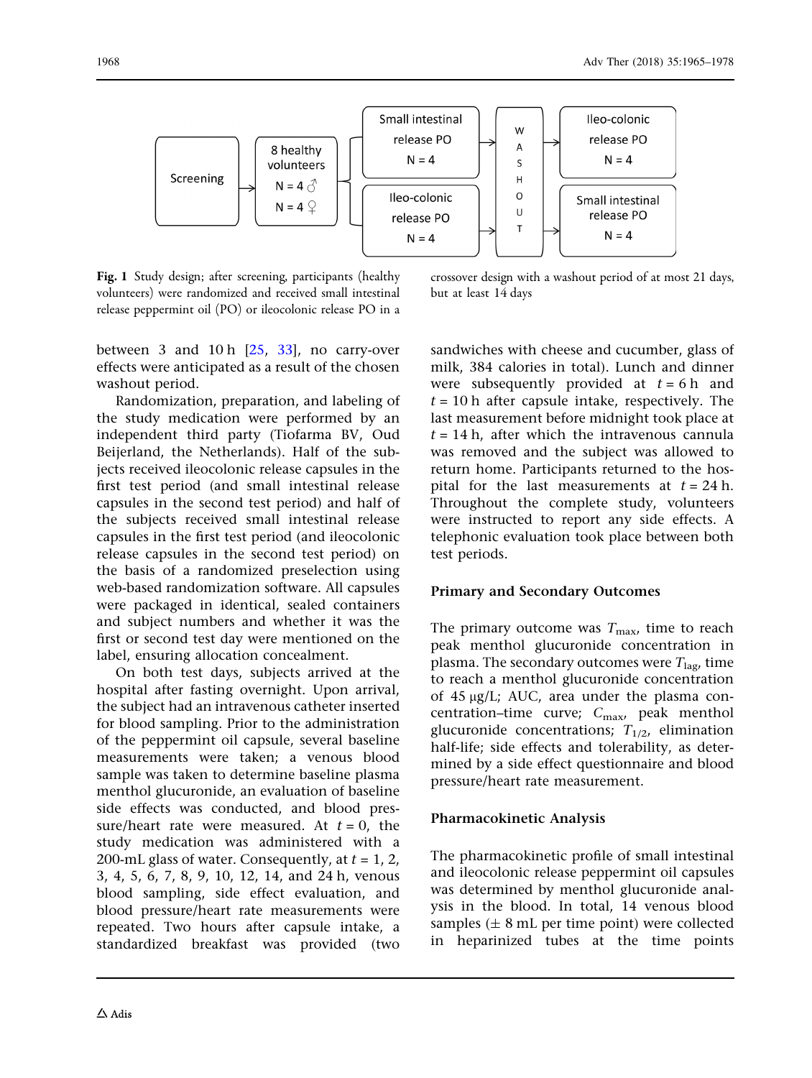<span id="page-4-0"></span>

Fig. 1 Study design; after screening, participants (healthy volunteers) were randomized and received small intestinal release peppermint oil (PO) or ileocolonic release PO in a

crossover design with a washout period of at most 21 days, but at least 14 days

between 3 and 10 h  $[25, 33]$  $[25, 33]$  $[25, 33]$  $[25, 33]$ , no carry-over effects were anticipated as a result of the chosen washout period.

Randomization, preparation, and labeling of the study medication were performed by an independent third party (Tiofarma BV, Oud Beijerland, the Netherlands). Half of the subjects received ileocolonic release capsules in the first test period (and small intestinal release capsules in the second test period) and half of the subjects received small intestinal release capsules in the first test period (and ileocolonic release capsules in the second test period) on the basis of a randomized preselection using web-based randomization software. All capsules were packaged in identical, sealed containers and subject numbers and whether it was the first or second test day were mentioned on the label, ensuring allocation concealment.

On both test days, subjects arrived at the hospital after fasting overnight. Upon arrival, the subject had an intravenous catheter inserted for blood sampling. Prior to the administration of the peppermint oil capsule, several baseline measurements were taken; a venous blood sample was taken to determine baseline plasma menthol glucuronide, an evaluation of baseline side effects was conducted, and blood pressure/heart rate were measured. At  $t = 0$ , the study medication was administered with a 200-mL glass of water. Consequently, at  $t = 1, 2$ , 3, 4, 5, 6, 7, 8, 9, 10, 12, 14, and 24 h, venous blood sampling, side effect evaluation, and blood pressure/heart rate measurements were repeated. Two hours after capsule intake, a standardized breakfast was provided (two sandwiches with cheese and cucumber, glass of milk, 384 calories in total). Lunch and dinner were subsequently provided at  $t = 6$  h and  $t = 10$  h after capsule intake, respectively. The last measurement before midnight took place at  $t = 14$  h, after which the intravenous cannula was removed and the subject was allowed to return home. Participants returned to the hospital for the last measurements at  $t = 24$  h. Throughout the complete study, volunteers were instructed to report any side effects. A telephonic evaluation took place between both test periods.

#### Primary and Secondary Outcomes

The primary outcome was  $T_{\text{max}}$ , time to reach peak menthol glucuronide concentration in plasma. The secondary outcomes were  $T_{\text{lag}}$ , time to reach a menthol glucuronide concentration of 45 µg/L; AUC, area under the plasma concentration–time curve;  $C_{\text{max}}$ , peak menthol glucuronide concentrations;  $T_{1/2}$ , elimination half-life; side effects and tolerability, as determined by a side effect questionnaire and blood pressure/heart rate measurement.

## Pharmacokinetic Analysis

The pharmacokinetic profile of small intestinal and ileocolonic release peppermint oil capsules was determined by menthol glucuronide analysis in the blood. In total, 14 venous blood samples  $(\pm 8 \text{ mL per time point})$  were collected in heparinized tubes at the time points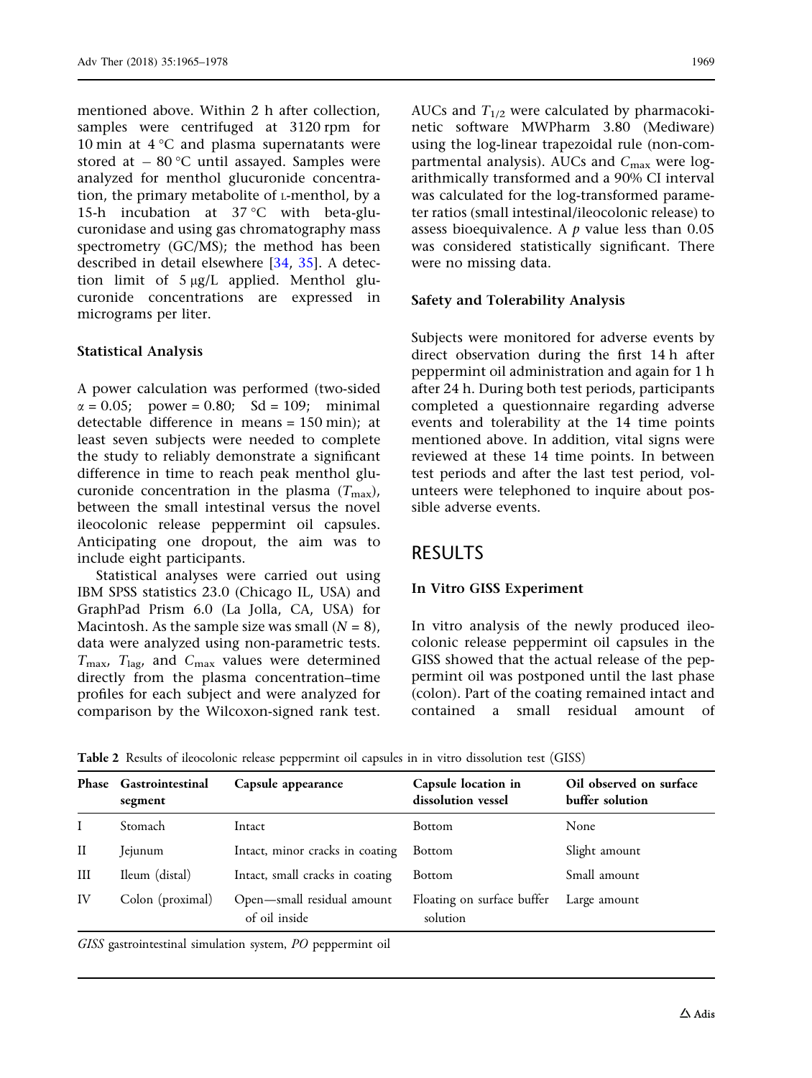<span id="page-5-0"></span>mentioned above. Within 2 h after collection, samples were centrifuged at 3120 rpm for 10 min at  $4^{\circ}$ C and plasma supernatants were stored at  $-80$  °C until assayed. Samples were analyzed for menthol glucuronide concentration, the primary metabolite of L-menthol, by a 15-h incubation at 37 °C with beta-glucuronidase and using gas chromatography mass spectrometry (GC/MS); the method has been described in detail elsewhere [[34](#page-13-0), [35](#page-13-0)]. A detection limit of  $5 \mu g/L$  applied. Menthol glucuronide concentrations are expressed in micrograms per liter.

#### Statistical Analysis

A power calculation was performed (two-sided  $\alpha = 0.05$ ; power = 0.80; Sd = 109; minimal detectable difference in means = 150 min); at least seven subjects were needed to complete the study to reliably demonstrate a significant difference in time to reach peak menthol glucuronide concentration in the plasma  $(T_{\text{max}})$ , between the small intestinal versus the novel ileocolonic release peppermint oil capsules. Anticipating one dropout, the aim was to include eight participants.

Statistical analyses were carried out using IBM SPSS statistics 23.0 (Chicago IL, USA) and GraphPad Prism 6.0 (La Jolla, CA, USA) for Macintosh. As the sample size was small  $(N = 8)$ , data were analyzed using non-parametric tests.  $T_{\text{max}}$ ,  $T_{\text{lag}}$ , and  $C_{\text{max}}$  values were determined directly from the plasma concentration–time profiles for each subject and were analyzed for comparison by the Wilcoxon-signed rank test.

AUCs and  $T_{1/2}$  were calculated by pharmacokinetic software MWPharm 3.80 (Mediware) using the log-linear trapezoidal rule (non-compartmental analysis). AUCs and  $C_{\text{max}}$  were logarithmically transformed and a 90% CI interval was calculated for the log-transformed parameter ratios (small intestinal/ileocolonic release) to assess bioequivalence. A  $p$  value less than 0.05 was considered statistically significant. There were no missing data.

#### Safety and Tolerability Analysis

Subjects were monitored for adverse events by direct observation during the first 14 h after peppermint oil administration and again for 1 h after 24 h. During both test periods, participants completed a questionnaire regarding adverse events and tolerability at the 14 time points mentioned above. In addition, vital signs were reviewed at these 14 time points. In between test periods and after the last test period, volunteers were telephoned to inquire about possible adverse events.

# **RESULTS**

#### In Vitro GISS Experiment

In vitro analysis of the newly produced ileocolonic release peppermint oil capsules in the GISS showed that the actual release of the peppermint oil was postponed until the last phase (colon). Part of the coating remained intact and contained a small residual amount of

|          | Phase Gastrointestinal<br>segment | Capsule appearance                          | Capsule location in<br>dissolution vessel | Oil observed on surface<br>buffer solution |
|----------|-----------------------------------|---------------------------------------------|-------------------------------------------|--------------------------------------------|
|          | Stomach                           | Intact                                      | Bottom                                    | None                                       |
| $\rm II$ | <i><u><b>Jejunum</b></u></i>      | Intact, minor cracks in coating             | <b>Bottom</b>                             | Slight amount                              |
| Ш        | Ileum (distal)                    | Intact, small cracks in coating             | <b>Bottom</b>                             | Small amount                               |
| IV       | Colon (proximal)                  | Open-small residual amount<br>of oil inside | Floating on surface buffer<br>solution    | Large amount                               |

Table 2 Results of ileocolonic release peppermint oil capsules in in vitro dissolution test (GISS)

GISS gastrointestinal simulation system, PO peppermint oil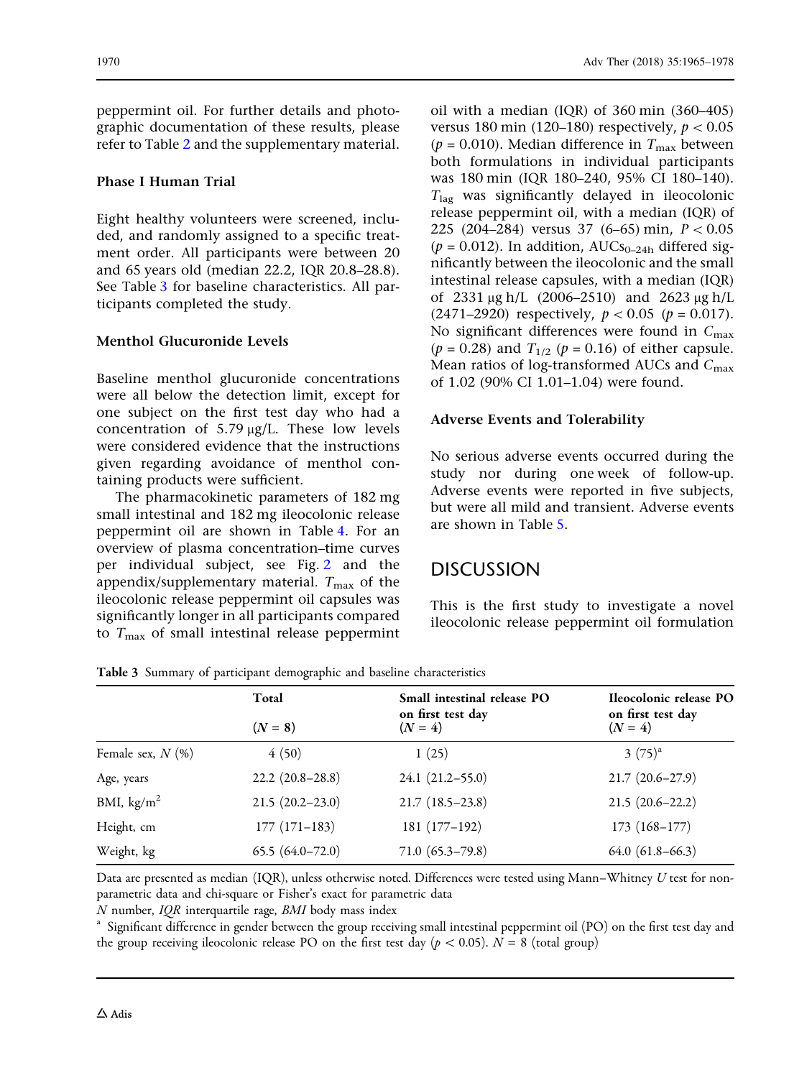peppermint oil. For further details and photographic documentation of these results, please refer to Table [2](#page-5-0) and the supplementary material.

### Phase I Human Trial

Eight healthy volunteers were screened, included, and randomly assigned to a specific treatment order. All participants were between 20 and 65 years old (median 22.2, IQR 20.8–28.8). See Table 3 for baseline characteristics. All participants completed the study.

### Menthol Glucuronide Levels

Baseline menthol glucuronide concentrations were all below the detection limit, except for one subject on the first test day who had a concentration of  $5.79 \mu g/L$ . These low levels were considered evidence that the instructions given regarding avoidance of menthol containing products were sufficient.

The pharmacokinetic parameters of 182 mg small intestinal and 182 mg ileocolonic release peppermint oil are shown in Table [4.](#page-7-0) For an overview of plasma concentration–time curves per individual subject, see Fig. [2](#page-8-0) and the appendix/supplementary material.  $T_{\text{max}}$  of the ileocolonic release peppermint oil capsules was significantly longer in all participants compared to  $T_{\text{max}}$  of small intestinal release peppermint oil with a median (IQR) of 360 min (360–405) versus 180 min (120–180) respectively,  $p < 0.05$ ( $p = 0.010$ ). Median difference in  $T_{\text{max}}$  between both formulations in individual participants was 180 min (IQR 180–240, 95% CI 180–140).  $T_{\text{lag}}$  was significantly delayed in ileocolonic release peppermint oil, with a median (IQR) of 225 (204–284) versus 37 (6–65) min,  $P < 0.05$ ( $p = 0.012$ ). In addition, AUCs<sub>0–24h</sub> differed significantly between the ileocolonic and the small intestinal release capsules, with a median (IQR) of  $2331 \,\mu g \, h/L$  (2006–2510) and  $2623 \,\mu g \, h/L$ (2471–2920) respectively,  $p < 0.05$  ( $p = 0.017$ ). No significant differences were found in  $C_{\text{max}}$  $(p = 0.28)$  and  $T_{1/2}$   $(p = 0.16)$  of either capsule. Mean ratios of log-transformed AUCs and Cmax of 1.02 (90% CI 1.01–1.04) were found.

#### Adverse Events and Tolerability

No serious adverse events occurred during the study nor during one week of follow-up. Adverse events were reported in five subjects, but were all mild and transient. Adverse events are shown in Table [5.](#page-8-0)

# **DISCUSSION**

This is the first study to investigate a novel ileocolonic release peppermint oil formulation

|                        | Total                | Small intestinal release PO    | Ileocolonic release PO         |
|------------------------|----------------------|--------------------------------|--------------------------------|
|                        | $(N = 8)$            | on first test day<br>$(N = 4)$ | on first test day<br>$(N = 4)$ |
| Female sex, $N$ $(\%)$ | 4(50)                | 1(25)                          | $3(75)^{a}$                    |
| Age, years             | $22.2 (20.8 - 28.8)$ | $24.1(21.2-55.0)$              | $21.7(20.6-27.9)$              |
| BMI, $\text{kg/m}^2$   | $21.5(20.2-23.0)$    | $21.7(18.5-23.8)$              | $21.5(20.6-22.2)$              |
| Height, cm             | $177(171-183)$       | 181 (177-192)                  | $173(168-177)$                 |
| Weight, kg             | 65.5 $(64.0 - 72.0)$ | $71.0(65.3 - 79.8)$            | $64.0 (61.8 - 66.3)$           |

Table 3 Summary of participant demographic and baseline characteristics

Data are presented as median (IQR), unless otherwise noted. Differences were tested using Mann–Whitney U test for nonparametric data and chi-square or Fisher's exact for parametric data

N number, IQR interquartile rage, BMI body mass index<br><sup>a</sup> Significant difference in gender between the group receiving small intestinal peppermint oil (PO) on the first test day and the group receiving ileocolonic release PO on the first test day ( $p < 0.05$ ).  $N = 8$  (total group)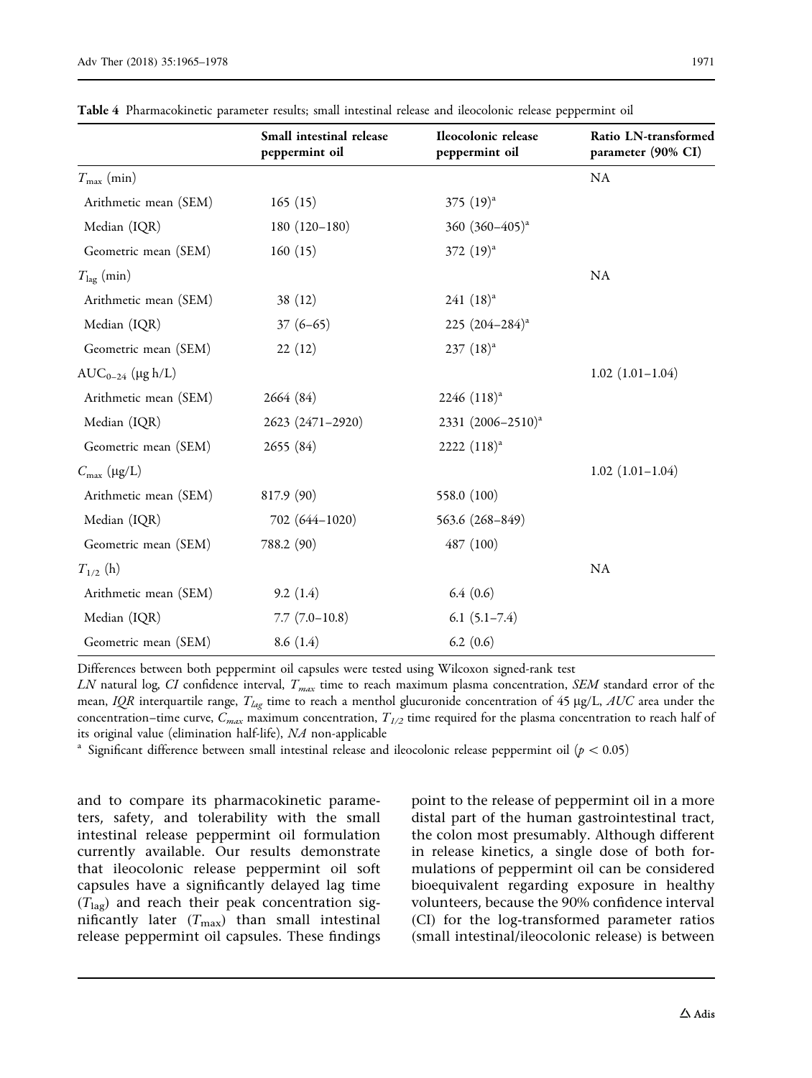|                         | Small intestinal release<br>peppermint oil | Ileocolonic release<br>peppermint oil | Ratio LN-transformed<br>parameter (90% CI) |
|-------------------------|--------------------------------------------|---------------------------------------|--------------------------------------------|
| $T_{\text{max}}$ (min)  |                                            |                                       | NA                                         |
| Arithmetic mean (SEM)   | 165(15)                                    | 375 $(19)^{a}$                        |                                            |
| Median (IQR)            | $180(120-180)$                             | 360 $(360-405)^a$                     |                                            |
| Geometric mean (SEM)    | 160(15)                                    | 372 $(19)^{a}$                        |                                            |
| $T_{\text{lag}}$ (min)  |                                            |                                       | NA                                         |
| Arithmetic mean (SEM)   | 38(12)                                     | $241 (18)^{a}$                        |                                            |
| Median (IQR)            | $37(6-65)$                                 | 225 $(204 - 284)^a$                   |                                            |
| Geometric mean (SEM)    | 22(12)                                     | $237(18)^{a}$                         |                                            |
| $AUC_{0-24}$ (µg h/L)   |                                            |                                       | $1.02(1.01-1.04)$                          |
| Arithmetic mean (SEM)   | 2664 (84)                                  | $2246$ $(118)^a$                      |                                            |
| Median (IQR)            | 2623 (2471-2920)                           | 2331 (2006-2510) <sup>a</sup>         |                                            |
| Geometric mean (SEM)    | 2655(84)                                   | 2222 $(118)^a$                        |                                            |
| $C_{\text{max}}$ (µg/L) |                                            |                                       | $1.02(1.01-1.04)$                          |
| Arithmetic mean (SEM)   | 817.9 (90)                                 | 558.0 (100)                           |                                            |
| Median (IQR)            | 702 (644-1020)                             | 563.6 (268-849)                       |                                            |
| Geometric mean (SEM)    | 788.2 (90)                                 | 487 (100)                             |                                            |
| $T_{1/2}$ (h)           |                                            |                                       | <b>NA</b>                                  |
| Arithmetic mean (SEM)   | 9.2(1.4)                                   | 6.4(0.6)                              |                                            |
| Median (IQR)            | $7.7 (7.0 - 10.8)$                         | 6.1 $(5.1 - 7.4)$                     |                                            |
| Geometric mean (SEM)    | 8.6(1.4)                                   | 6.2(0.6)                              |                                            |

<span id="page-7-0"></span>Table 4 Pharmacokinetic parameter results; small intestinal release and ileocolonic release peppermint oil

Differences between both peppermint oil capsules were tested using Wilcoxon signed-rank test

LN natural log, CI confidence interval,  $T_{max}$  time to reach maximum plasma concentration, SEM standard error of the mean, IQR interquartile range,  $T_{lag}$  time to reach a menthol glucuronide concentration of 45 µg/L, AUC area under the concentration–time curve,  $C_{max}$  maximum concentration,  $T_{1/2}$  time required for the plasma concentration to reach half of its original value (elimination half-life),  $NA$  non-applicable

<sup>a</sup> Significant difference between small intestinal release and ileocolonic release peppermint oil ( $p < 0.05$ )

and to compare its pharmacokinetic parameters, safety, and tolerability with the small intestinal release peppermint oil formulation currently available. Our results demonstrate that ileocolonic release peppermint oil soft capsules have a significantly delayed lag time  $(T_{\text{lag}})$  and reach their peak concentration significantly later  $(T_{\text{max}})$  than small intestinal release peppermint oil capsules. These findings point to the release of peppermint oil in a more distal part of the human gastrointestinal tract, the colon most presumably. Although different in release kinetics, a single dose of both formulations of peppermint oil can be considered bioequivalent regarding exposure in healthy volunteers, because the 90% confidence interval (CI) for the log-transformed parameter ratios (small intestinal/ileocolonic release) is between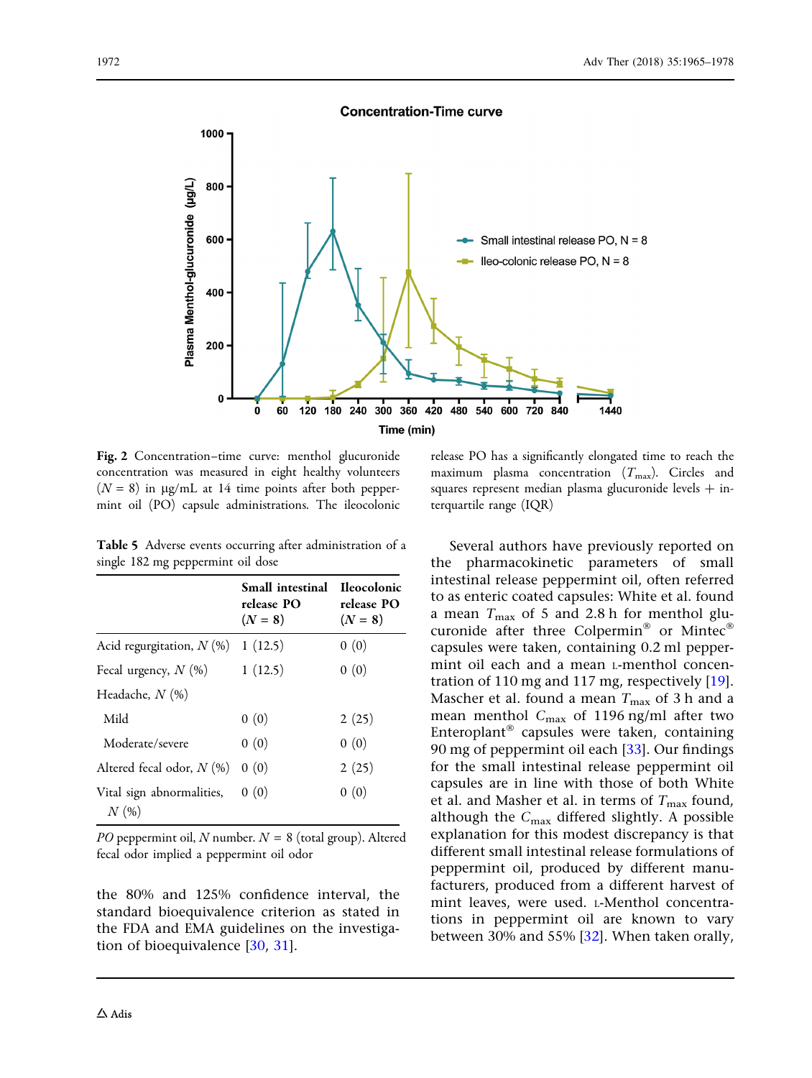#### **Concentration-Time curve**

<span id="page-8-0"></span>

Fig. 2 Concentration–time curve: menthol glucuronide concentration was measured in eight healthy volunteers  $(N = 8)$  in µg/mL at 14 time points after both peppermint oil (PO) capsule administrations. The ileocolonic

Table 5 Adverse events occurring after administration of a single 182 mg peppermint oil dose

|                                   | Small intestinal<br>release PO<br>$(N = 8)$ | <b>Ileocolonic</b><br>release PO<br>$(N = 8)$ |
|-----------------------------------|---------------------------------------------|-----------------------------------------------|
| Acid regurgitation, $N$ $(\%)$    | 1(12.5)                                     | 0(0)                                          |
| Fecal urgency, $N$ (%)            | 1(12.5)                                     | 0(0)                                          |
| Headache, $N$ $(\%)$              |                                             |                                               |
| Mild                              | 0(0)                                        | 2(25)                                         |
| Moderate/severe                   | 0(0)                                        | 0(0)                                          |
| Altered fecal odor, $N(\%)$       | 0(0)                                        | 2(25)                                         |
| Vital sign abnormalities,<br>N(%) | 0(0)                                        | 0(0)                                          |

PO peppermint oil, N number.  $N = 8$  (total group). Altered fecal odor implied a peppermint oil odor

the 80% and 125% confidence interval, the standard bioequivalence criterion as stated in the FDA and EMA guidelines on the investigation of bioequivalence [\[30,](#page-13-0) [31](#page-13-0)].

release PO has a significantly elongated time to reach the maximum plasma concentration  $(T_{\text{max}})$ . Circles and squares represent median plasma glucuronide levels  $+$  interquartile range (IQR)

Several authors have previously reported on the pharmacokinetic parameters of small intestinal release peppermint oil, often referred to as enteric coated capsules: White et al. found a mean  $T_{\text{max}}$  of 5 and 2.8 h for menthol glucuronide after three Colpermin<sup>®</sup> or Mintec<sup>®</sup> capsules were taken, containing 0.2 ml peppermint oil each and a mean L-menthol concentration of 110 mg and 117 mg, respectively [[19](#page-12-0)]. Mascher et al. found a mean  $T_{\text{max}}$  of 3 h and a mean menthol  $C_{\text{max}}$  of 1196 ng/ml after two Enteroplant<sup>®</sup> capsules were taken, containing 90 mg of peppermint oil each [\[33\]](#page-13-0). Our findings for the small intestinal release peppermint oil capsules are in line with those of both White et al. and Masher et al. in terms of  $T_{\text{max}}$  found, although the  $C_{\text{max}}$  differed slightly. A possible explanation for this modest discrepancy is that different small intestinal release formulations of peppermint oil, produced by different manufacturers, produced from a different harvest of mint leaves, were used. L-Menthol concentrations in peppermint oil are known to vary between 30% and 55% [\[32\]](#page-13-0). When taken orally,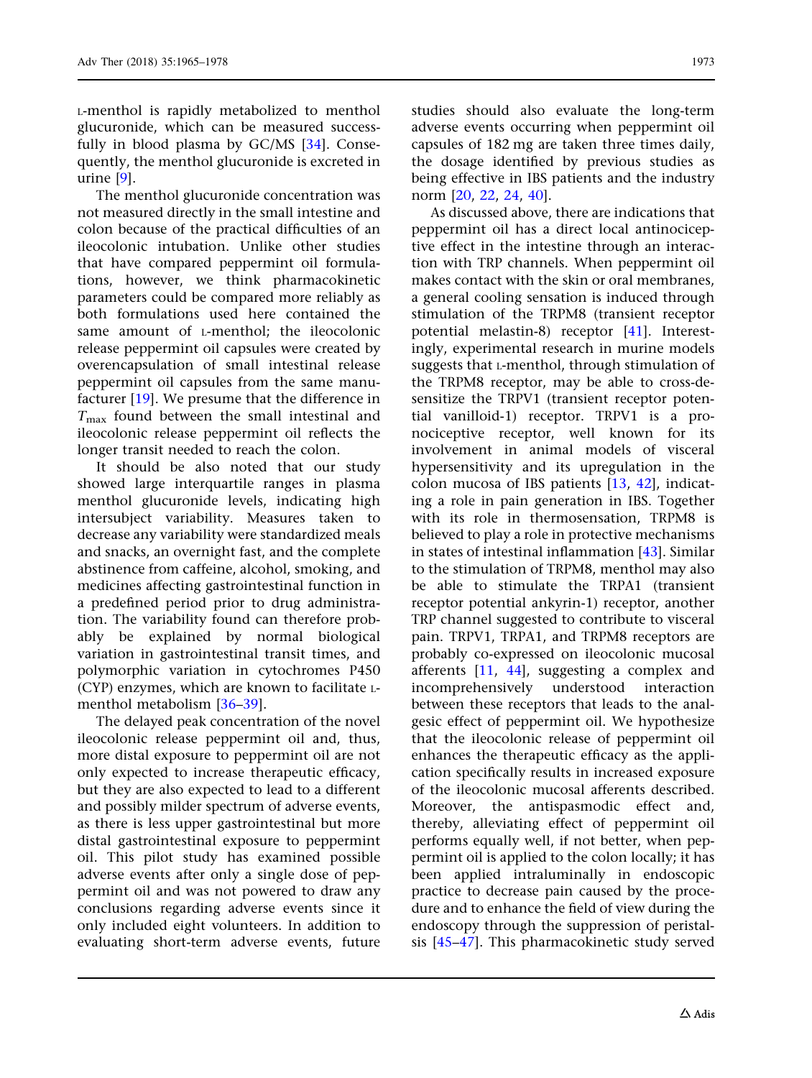L-menthol is rapidly metabolized to menthol glucuronide, which can be measured successfully in blood plasma by GC/MS [[34\]](#page-13-0). Consequently, the menthol glucuronide is excreted in urine [[9\]](#page-12-0).

The menthol glucuronide concentration was not measured directly in the small intestine and colon because of the practical difficulties of an ileocolonic intubation. Unlike other studies that have compared peppermint oil formulations, however, we think pharmacokinetic parameters could be compared more reliably as both formulations used here contained the same amount of L-menthol; the ileocolonic release peppermint oil capsules were created by overencapsulation of small intestinal release peppermint oil capsules from the same manufacturer [[19](#page-12-0)]. We presume that the difference in  $T<sub>max</sub>$  found between the small intestinal and ileocolonic release peppermint oil reflects the longer transit needed to reach the colon.

It should be also noted that our study showed large interquartile ranges in plasma menthol glucuronide levels, indicating high intersubject variability. Measures taken to decrease any variability were standardized meals and snacks, an overnight fast, and the complete abstinence from caffeine, alcohol, smoking, and medicines affecting gastrointestinal function in a predefined period prior to drug administration. The variability found can therefore probably be explained by normal biological variation in gastrointestinal transit times, and polymorphic variation in cytochromes P450 (CYP) enzymes, which are known to facilitate Lmenthol metabolism [[36–39\]](#page-13-0).

The delayed peak concentration of the novel ileocolonic release peppermint oil and, thus, more distal exposure to peppermint oil are not only expected to increase therapeutic efficacy, but they are also expected to lead to a different and possibly milder spectrum of adverse events, as there is less upper gastrointestinal but more distal gastrointestinal exposure to peppermint oil. This pilot study has examined possible adverse events after only a single dose of peppermint oil and was not powered to draw any conclusions regarding adverse events since it only included eight volunteers. In addition to evaluating short-term adverse events, future

studies should also evaluate the long-term adverse events occurring when peppermint oil capsules of 182 mg are taken three times daily, the dosage identified by previous studies as being effective in IBS patients and the industry norm [\[20,](#page-12-0) [22](#page-12-0), [24](#page-12-0), [40\]](#page-13-0).

As discussed above, there are indications that peppermint oil has a direct local antinociceptive effect in the intestine through an interaction with TRP channels. When peppermint oil makes contact with the skin or oral membranes, a general cooling sensation is induced through stimulation of the TRPM8 (transient receptor potential melastin-8) receptor [[41](#page-13-0)]. Interestingly, experimental research in murine models suggests that L-menthol, through stimulation of the TRPM8 receptor, may be able to cross-desensitize the TRPV1 (transient receptor potential vanilloid-1) receptor. TRPV1 is a pronociceptive receptor, well known for its involvement in animal models of visceral hypersensitivity and its upregulation in the colon mucosa of IBS patients [\[13,](#page-12-0) [42](#page-13-0)], indicating a role in pain generation in IBS. Together with its role in thermosensation, TRPM8 is believed to play a role in protective mechanisms in states of intestinal inflammation  $[43]$ . Similar to the stimulation of TRPM8, menthol may also be able to stimulate the TRPA1 (transient receptor potential ankyrin-1) receptor, another TRP channel suggested to contribute to visceral pain. TRPV1, TRPA1, and TRPM8 receptors are probably co-expressed on ileocolonic mucosal afferents [\[11,](#page-12-0) [44\]](#page-13-0), suggesting a complex and incomprehensively understood interaction between these receptors that leads to the analgesic effect of peppermint oil. We hypothesize that the ileocolonic release of peppermint oil enhances the therapeutic efficacy as the application specifically results in increased exposure of the ileocolonic mucosal afferents described. Moreover, the antispasmodic effect and, thereby, alleviating effect of peppermint oil performs equally well, if not better, when peppermint oil is applied to the colon locally; it has been applied intraluminally in endoscopic practice to decrease pain caused by the procedure and to enhance the field of view during the endoscopy through the suppression of peristalsis [\[45–](#page-13-0)[47](#page-14-0)]. This pharmacokinetic study served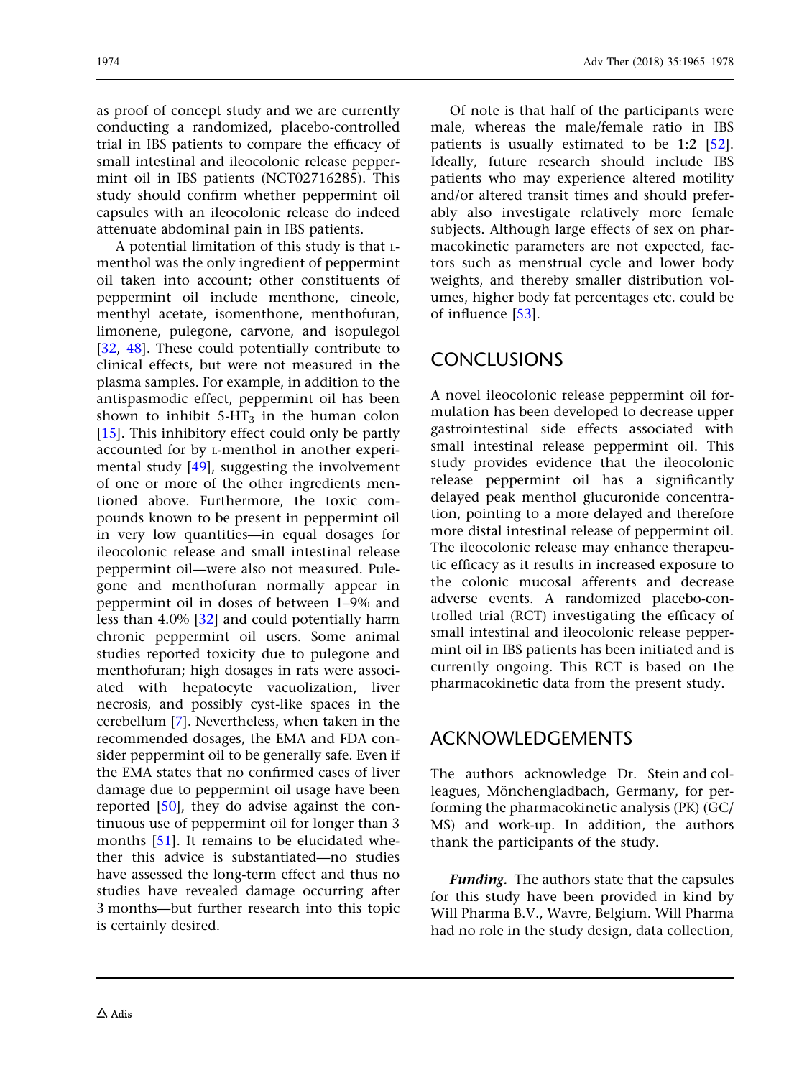as proof of concept study and we are currently conducting a randomized, placebo-controlled trial in IBS patients to compare the efficacy of small intestinal and ileocolonic release peppermint oil in IBS patients (NCT02716285). This study should confirm whether peppermint oil capsules with an ileocolonic release do indeed attenuate abdominal pain in IBS patients.

A potential limitation of this study is that Lmenthol was the only ingredient of peppermint oil taken into account; other constituents of peppermint oil include menthone, cineole, menthyl acetate, isomenthone, menthofuran, limonene, pulegone, carvone, and isopulegol [\[32,](#page-13-0) [48](#page-14-0)]. These could potentially contribute to clinical effects, but were not measured in the plasma samples. For example, in addition to the antispasmodic effect, peppermint oil has been shown to inhibit  $5-HT_3$  in the human colon [\[15\]](#page-12-0). This inhibitory effect could only be partly accounted for by L-menthol in another experimental study [\[49\]](#page-14-0), suggesting the involvement of one or more of the other ingredients mentioned above. Furthermore, the toxic compounds known to be present in peppermint oil in very low quantities—in equal dosages for ileocolonic release and small intestinal release peppermint oil—were also not measured. Pulegone and menthofuran normally appear in peppermint oil in doses of between 1–9% and less than 4.0% [[32](#page-13-0)] and could potentially harm chronic peppermint oil users. Some animal studies reported toxicity due to pulegone and menthofuran; high dosages in rats were associated with hepatocyte vacuolization, liver necrosis, and possibly cyst-like spaces in the cerebellum [\[7](#page-12-0)]. Nevertheless, when taken in the recommended dosages, the EMA and FDA consider peppermint oil to be generally safe. Even if the EMA states that no confirmed cases of liver damage due to peppermint oil usage have been reported [\[50\]](#page-14-0), they do advise against the continuous use of peppermint oil for longer than 3 months [[51](#page-14-0)]. It remains to be elucidated whether this advice is substantiated—no studies have assessed the long-term effect and thus no studies have revealed damage occurring after 3 months—but further research into this topic is certainly desired.

Of note is that half of the participants were male, whereas the male/female ratio in IBS patients is usually estimated to be 1:2 [[52](#page-14-0)]. Ideally, future research should include IBS patients who may experience altered motility and/or altered transit times and should preferably also investigate relatively more female subjects. Although large effects of sex on pharmacokinetic parameters are not expected, factors such as menstrual cycle and lower body weights, and thereby smaller distribution volumes, higher body fat percentages etc. could be of influence [[53](#page-14-0)].

# CONCLUSIONS

A novel ileocolonic release peppermint oil formulation has been developed to decrease upper gastrointestinal side effects associated with small intestinal release peppermint oil. This study provides evidence that the ileocolonic release peppermint oil has a significantly delayed peak menthol glucuronide concentration, pointing to a more delayed and therefore more distal intestinal release of peppermint oil. The ileocolonic release may enhance therapeutic efficacy as it results in increased exposure to the colonic mucosal afferents and decrease adverse events. A randomized placebo-controlled trial (RCT) investigating the efficacy of small intestinal and ileocolonic release peppermint oil in IBS patients has been initiated and is currently ongoing. This RCT is based on the pharmacokinetic data from the present study.

# ACKNOWLEDGEMENTS

The authors acknowledge Dr. Stein and colleagues, Mönchengladbach, Germany, for performing the pharmacokinetic analysis (PK) (GC/ MS) and work-up. In addition, the authors thank the participants of the study.

**Funding.** The authors state that the capsules for this study have been provided in kind by Will Pharma B.V., Wavre, Belgium. Will Pharma had no role in the study design, data collection,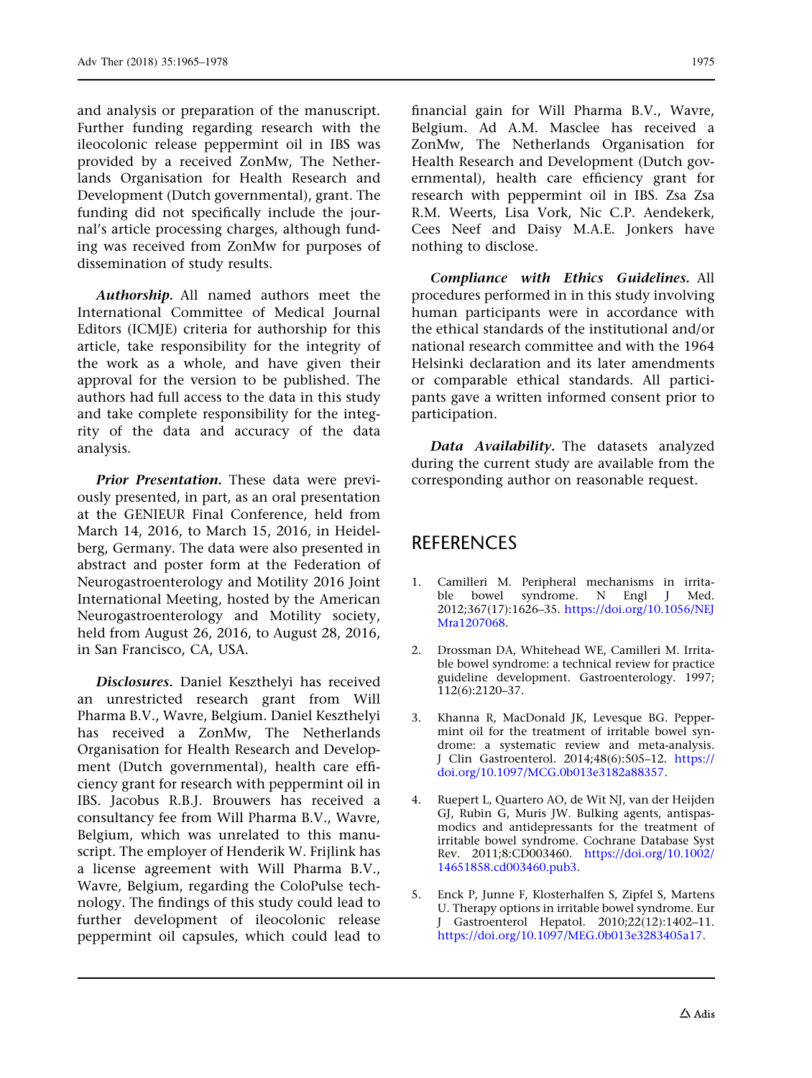<span id="page-11-0"></span>and analysis or preparation of the manuscript. Further funding regarding research with the ileocolonic release peppermint oil in IBS was provided by a received ZonMw, The Netherlands Organisation for Health Research and Development (Dutch governmental), grant. The funding did not specifically include the journal's article processing charges, although funding was received from ZonMw for purposes of dissemination of study results.

Authorship. All named authors meet the International Committee of Medical Journal Editors (ICMJE) criteria for authorship for this article, take responsibility for the integrity of the work as a whole, and have given their approval for the version to be published. The authors had full access to the data in this study and take complete responsibility for the integrity of the data and accuracy of the data analysis.

Prior Presentation. These data were previously presented, in part, as an oral presentation at the GENIEUR Final Conference, held from March 14, 2016, to March 15, 2016, in Heidelberg, Germany. The data were also presented in abstract and poster form at the Federation of Neurogastroenterology and Motility 2016 Joint International Meeting, hosted by the American Neurogastroenterology and Motility society, held from August 26, 2016, to August 28, 2016, in San Francisco, CA, USA.

Disclosures. Daniel Keszthelyi has received an unrestricted research grant from Will Pharma B.V., Wavre, Belgium. Daniel Keszthelyi has received a ZonMw, The Netherlands Organisation for Health Research and Development (Dutch governmental), health care efficiency grant for research with peppermint oil in IBS. Jacobus R.B.J. Brouwers has received a consultancy fee from Will Pharma B.V., Wavre, Belgium, which was unrelated to this manuscript. The employer of Henderik W. Frijlink has a license agreement with Will Pharma B.V., Wavre, Belgium, regarding the ColoPulse technology. The findings of this study could lead to further development of ileocolonic release peppermint oil capsules, which could lead to

financial gain for Will Pharma B.V., Wavre, Belgium. Ad A.M. Masclee has received a ZonMw, The Netherlands Organisation for Health Research and Development (Dutch governmental), health care efficiency grant for research with peppermint oil in IBS. Zsa Zsa R.M. Weerts, Lisa Vork, Nic C.P. Aendekerk, Cees Neef and Daisy M.A.E. Jonkers have nothing to disclose.

Compliance with Ethics Guidelines. All procedures performed in in this study involving human participants were in accordance with the ethical standards of the institutional and/or national research committee and with the 1964 Helsinki declaration and its later amendments or comparable ethical standards. All participants gave a written informed consent prior to participation.

Data Availability. The datasets analyzed during the current study are available from the corresponding author on reasonable request.

# **REFERENCES**

- 1. Camilleri M. Peripheral mechanisms in irritable bowel syndrome. N Engl J Med. 2012;367(17):1626–35. [https://doi.org/10.1056/NEJ](http://dx.doi.org/10.1056/NEJMra1207068) [Mra1207068.](http://dx.doi.org/10.1056/NEJMra1207068)
- 2. Drossman DA, Whitehead WE, Camilleri M. Irritable bowel syndrome: a technical review for practice guideline development. Gastroenterology. 1997; 112(6):2120–37.
- 3. Khanna R, MacDonald JK, Levesque BG. Peppermint oil for the treatment of irritable bowel syndrome: a systematic review and meta-analysis. J Clin Gastroenterol. 2014;48(6):505–12. [https://](http://dx.doi.org/10.1097/MCG.0b013e3182a88357) [doi.org/10.1097/MCG.0b013e3182a88357](http://dx.doi.org/10.1097/MCG.0b013e3182a88357).
- 4. Ruepert L, Quartero AO, de Wit NJ, van der Heijden GJ, Rubin G, Muris JW. Bulking agents, antispasmodics and antidepressants for the treatment of irritable bowel syndrome. Cochrane Database Syst Rev. 2011;8:CD003460. [https://doi.org/10.1002/](http://dx.doi.org/10.1002/14651858.cd003460.pub3) [14651858.cd003460.pub3](http://dx.doi.org/10.1002/14651858.cd003460.pub3).
- 5. Enck P, Junne F, Klosterhalfen S, Zipfel S, Martens U. Therapy options in irritable bowel syndrome. Eur J Gastroenterol Hepatol. 2010;22(12):1402–11. [https://doi.org/10.1097/MEG.0b013e3283405a17.](http://dx.doi.org/10.1097/MEG.0b013e3283405a17)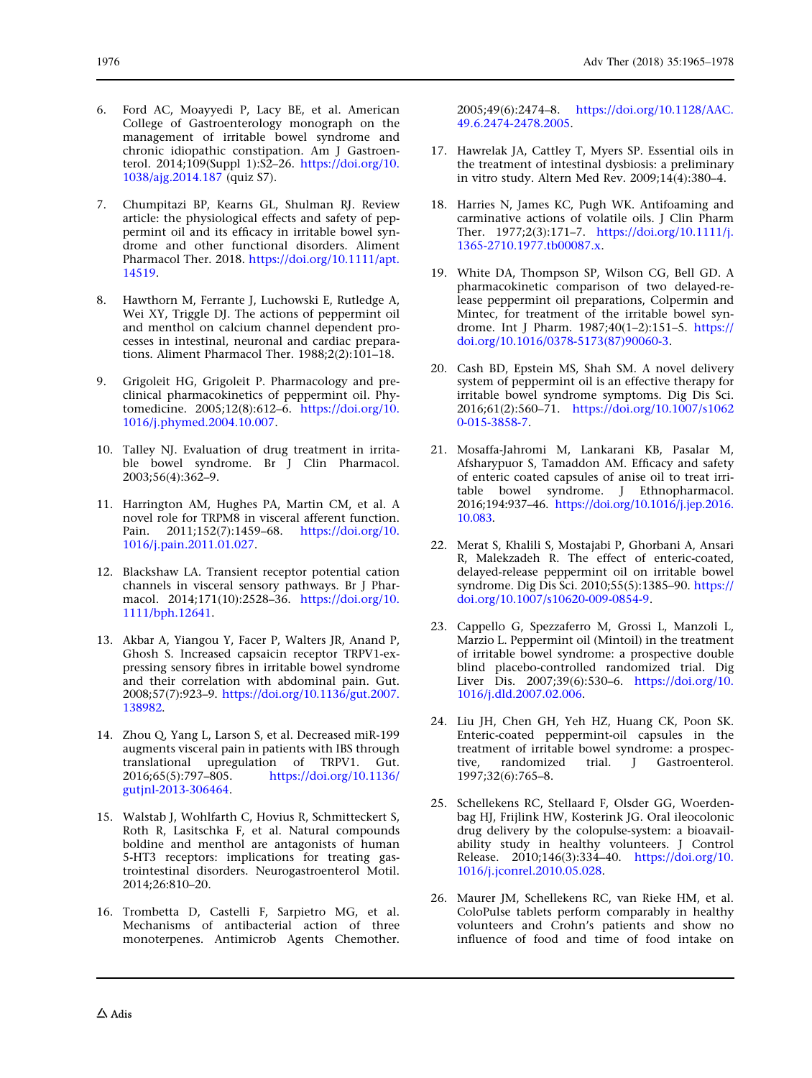- <span id="page-12-0"></span>6. Ford AC, Moayyedi P, Lacy BE, et al. American College of Gastroenterology monograph on the management of irritable bowel syndrome and chronic idiopathic constipation. Am J Gastroenterol. 2014;109(Suppl 1): $S<sub>2</sub>$ –26. [https://doi.org/10.](http://dx.doi.org/10.1038/ajg.2014.187) [1038/ajg.2014.187](http://dx.doi.org/10.1038/ajg.2014.187) (quiz S7).
- 7. Chumpitazi BP, Kearns GL, Shulman RJ. Review article: the physiological effects and safety of peppermint oil and its efficacy in irritable bowel syndrome and other functional disorders. Aliment Pharmacol Ther. 2018. [https://doi.org/10.1111/apt.](http://dx.doi.org/10.1111/apt.14519) [14519](http://dx.doi.org/10.1111/apt.14519).
- 8. Hawthorn M, Ferrante J, Luchowski E, Rutledge A, Wei XY, Triggle DJ. The actions of peppermint oil and menthol on calcium channel dependent processes in intestinal, neuronal and cardiac preparations. Aliment Pharmacol Ther. 1988;2(2):101–18.
- 9. Grigoleit HG, Grigoleit P. Pharmacology and preclinical pharmacokinetics of peppermint oil. Phytomedicine. 2005;12(8):612–6. [https://doi.org/10.](http://dx.doi.org/10.1016/j.phymed.2004.10.007) [1016/j.phymed.2004.10.007.](http://dx.doi.org/10.1016/j.phymed.2004.10.007)
- 10. Talley NJ. Evaluation of drug treatment in irritable bowel syndrome. Br J Clin Pharmacol. 2003;56(4):362–9.
- 11. Harrington AM, Hughes PA, Martin CM, et al. A novel role for TRPM8 in visceral afferent function. Pain. 2011;152(7):1459–68. [https://doi.org/10.](http://dx.doi.org/10.1016/j.pain.2011.01.027) [1016/j.pain.2011.01.027.](http://dx.doi.org/10.1016/j.pain.2011.01.027)
- 12. Blackshaw LA. Transient receptor potential cation channels in visceral sensory pathways. Br J Pharmacol. 2014;171(10):2528–36. [https://doi.org/10.](http://dx.doi.org/10.1111/bph.12641) [1111/bph.12641](http://dx.doi.org/10.1111/bph.12641).
- 13. Akbar A, Yiangou Y, Facer P, Walters JR, Anand P, Ghosh S. Increased capsaicin receptor TRPV1-expressing sensory fibres in irritable bowel syndrome and their correlation with abdominal pain. Gut. 2008;57(7):923–9. [https://doi.org/10.1136/gut.2007.](http://dx.doi.org/10.1136/gut.2007.138982) [138982.](http://dx.doi.org/10.1136/gut.2007.138982)
- 14. Zhou Q, Yang L, Larson S, et al. Decreased miR-199 augments visceral pain in patients with IBS through translational upregulation of TRPV1. Gut.<br>2016;65(5):797–805. https://doi.org/10.1136/ 2016;65(5):797–805. [https://doi.org/10.1136/](http://dx.doi.org/10.1136/gutjnl-2013-306464) [gutjnl-2013-306464](http://dx.doi.org/10.1136/gutjnl-2013-306464).
- 15. Walstab J, Wohlfarth C, Hovius R, Schmitteckert S, Roth R, Lasitschka F, et al. Natural compounds boldine and menthol are antagonists of human 5-HT3 receptors: implications for treating gastrointestinal disorders. Neurogastroenterol Motil. 2014;26:810–20.
- 16. Trombetta D, Castelli F, Sarpietro MG, et al. Mechanisms of antibacterial action of three monoterpenes. Antimicrob Agents Chemother.

2005;49(6):2474–8. [https://doi.org/10.1128/AAC.](http://dx.doi.org/10.1128/AAC.49.6.2474-2478.2005) [49.6.2474-2478.2005](http://dx.doi.org/10.1128/AAC.49.6.2474-2478.2005).

- 17. Hawrelak JA, Cattley T, Myers SP. Essential oils in the treatment of intestinal dysbiosis: a preliminary in vitro study. Altern Med Rev. 2009;14(4):380–4.
- 18. Harries N, James KC, Pugh WK. Antifoaming and carminative actions of volatile oils. J Clin Pharm Ther. 1977;2(3):171–7. [https://doi.org/10.1111/j.](http://dx.doi.org/10.1111/j.1365-2710.1977.tb00087.x) [1365-2710.1977.tb00087.x](http://dx.doi.org/10.1111/j.1365-2710.1977.tb00087.x).
- 19. White DA, Thompson SP, Wilson CG, Bell GD. A pharmacokinetic comparison of two delayed-release peppermint oil preparations, Colpermin and Mintec, for treatment of the irritable bowel syndrome. Int J Pharm. 1987;40(1–2):151–5. [https://](http://dx.doi.org/10.1016/0378-5173(87)90060-3) [doi.org/10.1016/0378-5173\(87\)90060-3.](http://dx.doi.org/10.1016/0378-5173(87)90060-3)
- 20. Cash BD, Epstein MS, Shah SM. A novel delivery system of peppermint oil is an effective therapy for irritable bowel syndrome symptoms. Dig Dis Sci. 2016;61(2):560–71. [https://doi.org/10.1007/s1062](http://dx.doi.org/10.1007/s10620-015-3858-7) [0-015-3858-7](http://dx.doi.org/10.1007/s10620-015-3858-7).
- 21. Mosaffa-Jahromi M, Lankarani KB, Pasalar M, Afsharypuor S, Tamaddon AM. Efficacy and safety of enteric coated capsules of anise oil to treat irritable bowel syndrome. J Ethnopharmacol. 2016;194:937–46. [https://doi.org/10.1016/j.jep.2016.](http://dx.doi.org/10.1016/j.jep.2016.10.083) [10.083](http://dx.doi.org/10.1016/j.jep.2016.10.083).
- 22. Merat S, Khalili S, Mostajabi P, Ghorbani A, Ansari R, Malekzadeh R. The effect of enteric-coated, delayed-release peppermint oil on irritable bowel syndrome. Dig Dis Sci. 2010;55(5):1385–90. [https://](http://dx.doi.org/10.1007/s10620-009-0854-9) [doi.org/10.1007/s10620-009-0854-9.](http://dx.doi.org/10.1007/s10620-009-0854-9)
- 23. Cappello G, Spezzaferro M, Grossi L, Manzoli L, Marzio L. Peppermint oil (Mintoil) in the treatment of irritable bowel syndrome: a prospective double blind placebo-controlled randomized trial. Dig Liver Dis. 2007;39(6):530–6. [https://doi.org/10.](http://dx.doi.org/10.1016/j.dld.2007.02.006) [1016/j.dld.2007.02.006](http://dx.doi.org/10.1016/j.dld.2007.02.006).
- 24. Liu JH, Chen GH, Yeh HZ, Huang CK, Poon SK. Enteric-coated peppermint-oil capsules in the treatment of irritable bowel syndrome: a prospective, randomized trial. J Gastroenterol. 1997;32(6):765–8.
- 25. Schellekens RC, Stellaard F, Olsder GG, Woerdenbag HJ, Frijlink HW, Kosterink JG. Oral ileocolonic drug delivery by the colopulse-system: a bioavailability study in healthy volunteers. J Control Release. 2010;146(3):334–40. [https://doi.org/10.](http://dx.doi.org/10.1016/j.jconrel.2010.05.028) [1016/j.jconrel.2010.05.028.](http://dx.doi.org/10.1016/j.jconrel.2010.05.028)
- 26. Maurer JM, Schellekens RC, van Rieke HM, et al. ColoPulse tablets perform comparably in healthy volunteers and Crohn's patients and show no influence of food and time of food intake on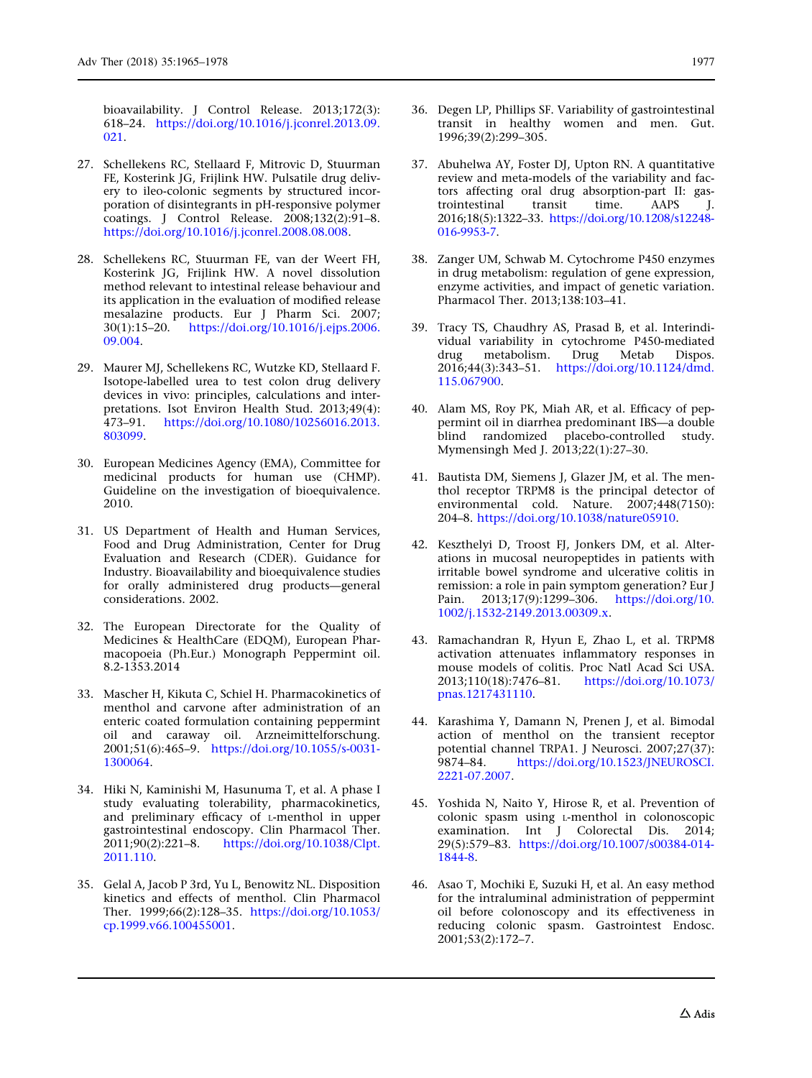<span id="page-13-0"></span>bioavailability. J Control Release. 2013;172(3): 618–24. [https://doi.org/10.1016/j.jconrel.2013.09.](http://dx.doi.org/10.1016/j.jconrel.2013.09.021) [021](http://dx.doi.org/10.1016/j.jconrel.2013.09.021).

- 27. Schellekens RC, Stellaard F, Mitrovic D, Stuurman FE, Kosterink JG, Frijlink HW. Pulsatile drug delivery to ileo-colonic segments by structured incorporation of disintegrants in pH-responsive polymer coatings. J Control Release. 2008;132(2):91–8. [https://doi.org/10.1016/j.jconrel.2008.08.008](http://dx.doi.org/10.1016/j.jconrel.2008.08.008).
- 28. Schellekens RC, Stuurman FE, van der Weert FH, Kosterink JG, Frijlink HW. A novel dissolution method relevant to intestinal release behaviour and its application in the evaluation of modified release mesalazine products. Eur J Pharm Sci. 2007; 30(1):15–20. [https://doi.org/10.1016/j.ejps.2006.](http://dx.doi.org/10.1016/j.ejps.2006.09.004) [09.004.](http://dx.doi.org/10.1016/j.ejps.2006.09.004)
- 29. Maurer MJ, Schellekens RC, Wutzke KD, Stellaard F. Isotope-labelled urea to test colon drug delivery devices in vivo: principles, calculations and interpretations. Isot Environ Health Stud. 2013;49(4): 473–91. [https://doi.org/10.1080/10256016.2013.](http://dx.doi.org/10.1080/10256016.2013.803099) [803099](http://dx.doi.org/10.1080/10256016.2013.803099).
- 30. European Medicines Agency (EMA), Committee for medicinal products for human use (CHMP). Guideline on the investigation of bioequivalence. 2010.
- 31. US Department of Health and Human Services, Food and Drug Administration, Center for Drug Evaluation and Research (CDER). Guidance for Industry. Bioavailability and bioequivalence studies for orally administered drug products—general considerations. 2002.
- 32. The European Directorate for the Quality of Medicines & HealthCare (EDQM), European Pharmacopoeia (Ph.Eur.) Monograph Peppermint oil. 8.2-1353.2014
- 33. Mascher H, Kikuta C, Schiel H. Pharmacokinetics of menthol and carvone after administration of an enteric coated formulation containing peppermint oil and caraway oil. Arzneimittelforschung. 2001;51(6):465–9. [https://doi.org/10.1055/s-0031-](http://dx.doi.org/10.1055/s-0031-1300064) [1300064.](http://dx.doi.org/10.1055/s-0031-1300064)
- 34. Hiki N, Kaminishi M, Hasunuma T, et al. A phase I study evaluating tolerability, pharmacokinetics, and preliminary efficacy of L-menthol in upper gastrointestinal endoscopy. Clin Pharmacol Ther. 2011;90(2):221–8. [https://doi.org/10.1038/Clpt.](http://dx.doi.org/10.1038/Clpt.2011.110) [2011.110](http://dx.doi.org/10.1038/Clpt.2011.110).
- 35. Gelal A, Jacob P 3rd, Yu L, Benowitz NL. Disposition kinetics and effects of menthol. Clin Pharmacol Ther. 1999;66(2):128–35. [https://doi.org/10.1053/](http://dx.doi.org/10.1053/cp.1999.v66.100455001) [cp.1999.v66.100455001](http://dx.doi.org/10.1053/cp.1999.v66.100455001).
- 36. Degen LP, Phillips SF. Variability of gastrointestinal transit in healthy women and men. Gut. 1996;39(2):299–305.
- 37. Abuhelwa AY, Foster DJ, Upton RN. A quantitative review and meta-models of the variability and factors affecting oral drug absorption-part II: gastrointestinal transit time. AAPS J. 2016;18(5):1322–33. [https://doi.org/10.1208/s12248-](http://dx.doi.org/10.1208/s12248-016-9953-7) [016-9953-7.](http://dx.doi.org/10.1208/s12248-016-9953-7)
- 38. Zanger UM, Schwab M. Cytochrome P450 enzymes in drug metabolism: regulation of gene expression, enzyme activities, and impact of genetic variation. Pharmacol Ther. 2013;138:103–41.
- 39. Tracy TS, Chaudhry AS, Prasad B, et al. Interindividual variability in cytochrome P450-mediated drug metabolism. Drug Metab Dispos. 2016;44(3):343–51. [https://doi.org/10.1124/dmd.](http://dx.doi.org/10.1124/dmd.115.067900) [115.067900](http://dx.doi.org/10.1124/dmd.115.067900).
- 40. Alam MS, Roy PK, Miah AR, et al. Efficacy of peppermint oil in diarrhea predominant IBS—a double blind randomized placebo-controlled study. Mymensingh Med J. 2013;22(1):27–30.
- 41. Bautista DM, Siemens J, Glazer JM, et al. The menthol receptor TRPM8 is the principal detector of environmental cold. Nature. 2007;448(7150): 204–8. [https://doi.org/10.1038/nature05910.](http://dx.doi.org/10.1038/nature05910)
- 42. Keszthelyi D, Troost FJ, Jonkers DM, et al. Alterations in mucosal neuropeptides in patients with irritable bowel syndrome and ulcerative colitis in remission: a role in pain symptom generation? Eur J Pain. 2013;17(9):1299–306. [https://doi.org/10.](http://dx.doi.org/10.1002/j.1532-2149.2013.00309.x) [1002/j.1532-2149.2013.00309.x.](http://dx.doi.org/10.1002/j.1532-2149.2013.00309.x)
- 43. Ramachandran R, Hyun E, Zhao L, et al. TRPM8 activation attenuates inflammatory responses in mouse models of colitis. Proc Natl Acad Sci USA. 2013;110(18):7476–81. [https://doi.org/10.1073/](http://dx.doi.org/10.1073/pnas.1217431110) [pnas.1217431110.](http://dx.doi.org/10.1073/pnas.1217431110)
- 44. Karashima Y, Damann N, Prenen J, et al. Bimodal action of menthol on the transient receptor potential channel TRPA1. J Neurosci. 2007;27(37): 9874–84. [https://doi.org/10.1523/JNEUROSCI.](http://dx.doi.org/10.1523/JNEUROSCI.2221-07.2007) [2221-07.2007.](http://dx.doi.org/10.1523/JNEUROSCI.2221-07.2007)
- 45. Yoshida N, Naito Y, Hirose R, et al. Prevention of colonic spasm using L-menthol in colonoscopic examination. Int J Colorectal Dis. 2014; 29(5):579–83. [https://doi.org/10.1007/s00384-014-](http://dx.doi.org/10.1007/s00384-014-1844-8) [1844-8](http://dx.doi.org/10.1007/s00384-014-1844-8).
- 46. Asao T, Mochiki E, Suzuki H, et al. An easy method for the intraluminal administration of peppermint oil before colonoscopy and its effectiveness in reducing colonic spasm. Gastrointest Endosc. 2001;53(2):172–7.